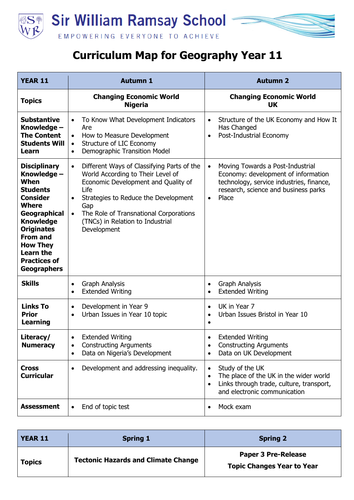

## **Curriculum Map for Geography Year 11**

| <b>YEAR 11</b>                                                                                                                                                                                                                                                   | <b>Autumn 1</b>                                                                                                                                                                                                                                                                                      | <b>Autumn 2</b>                                                                                                                                                                                |
|------------------------------------------------------------------------------------------------------------------------------------------------------------------------------------------------------------------------------------------------------------------|------------------------------------------------------------------------------------------------------------------------------------------------------------------------------------------------------------------------------------------------------------------------------------------------------|------------------------------------------------------------------------------------------------------------------------------------------------------------------------------------------------|
| <b>Topics</b>                                                                                                                                                                                                                                                    | <b>Changing Economic World</b><br><b>Nigeria</b>                                                                                                                                                                                                                                                     | <b>Changing Economic World</b><br>UK                                                                                                                                                           |
| <b>Substantive</b><br>Knowledge -<br><b>The Content</b><br><b>Students Will</b><br>Learn                                                                                                                                                                         | To Know What Development Indicators<br>Are<br>How to Measure Development<br>$\bullet$<br><b>Structure of LIC Economy</b><br>$\bullet$<br>Demographic Transition Model<br>$\bullet$                                                                                                                   | Structure of the UK Economy and How It<br>$\bullet$<br>Has Changed<br>Post-Industrial Economy<br>$\bullet$                                                                                     |
| <b>Disciplinary</b><br>Knowledge -<br>When<br><b>Students</b><br><b>Consider</b><br><b>Where</b><br>Geographical<br><b>Knowledge</b><br><b>Originates</b><br><b>From and</b><br><b>How They</b><br><b>Learn the</b><br><b>Practices of</b><br><b>Geographers</b> | Different Ways of Classifying Parts of the<br>$\bullet$<br>World According to Their Level of<br>Economic Development and Quality of<br>Life<br>Strategies to Reduce the Development<br>Gap<br>The Role of Transnational Corporations<br>$\bullet$<br>(TNCs) in Relation to Industrial<br>Development | Moving Towards a Post-Industrial<br>$\bullet$<br>Economy: development of information<br>technology, service industries, finance,<br>research, science and business parks<br>Place<br>$\bullet$ |
| <b>Skills</b>                                                                                                                                                                                                                                                    | <b>Graph Analysis</b><br>$\bullet$<br><b>Extended Writing</b><br>$\bullet$                                                                                                                                                                                                                           | <b>Graph Analysis</b><br>٠<br><b>Extended Writing</b><br>٠                                                                                                                                     |
| <b>Links To</b><br><b>Prior</b><br><b>Learning</b>                                                                                                                                                                                                               | Development in Year 9<br>$\bullet$<br>Urban Issues in Year 10 topic<br>$\bullet$                                                                                                                                                                                                                     | UK in Year 7<br>$\bullet$<br>Urban Issues Bristol in Year 10<br>٠<br>$\bullet$                                                                                                                 |
| Literacy/<br><b>Numeracy</b>                                                                                                                                                                                                                                     | <b>Extended Writing</b><br><b>Constructing Arguments</b><br>$\bullet$<br>Data on Nigeria's Development<br>$\bullet$                                                                                                                                                                                  | <b>Extended Writing</b><br><b>Constructing Arguments</b><br>$\bullet$<br>Data on UK Development<br>٠                                                                                           |
| <b>Cross</b><br><b>Curricular</b>                                                                                                                                                                                                                                | Development and addressing inequality.                                                                                                                                                                                                                                                               | Study of the UK<br>$\bullet$<br>The place of the UK in the wider world<br>$\bullet$<br>Links through trade, culture, transport,<br>٠<br>and electronic communication                           |
| <b>Assessment</b>                                                                                                                                                                                                                                                | End of topic test<br>$\bullet$                                                                                                                                                                                                                                                                       | Mock exam<br>$\bullet$                                                                                                                                                                         |

| <b>YEAR 11</b> | <b>Spring 1</b>                            | <b>Spring 2</b>                                                 |
|----------------|--------------------------------------------|-----------------------------------------------------------------|
| <b>Topics</b>  | <b>Tectonic Hazards and Climate Change</b> | <b>Paper 3 Pre-Release</b><br><b>Topic Changes Year to Year</b> |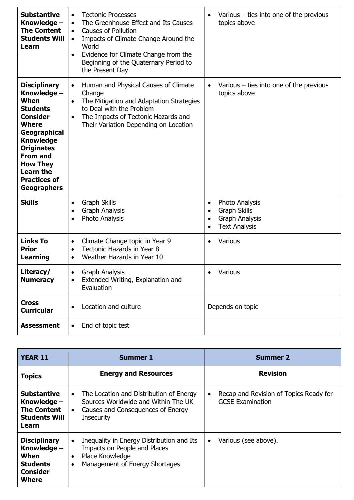| <b>Substantive</b><br>Knowledge -<br><b>The Content</b><br><b>Students Will</b><br>Learn                                                                                                                                                                         | <b>Tectonic Processes</b><br>$\bullet$<br>The Greenhouse Effect and Its Causes<br>$\bullet$<br><b>Causes of Pollution</b><br>$\bullet$<br>Impacts of Climate Change Around the<br>$\bullet$<br>World<br>Evidence for Climate Change from the<br>Beginning of the Quaternary Period to<br>the Present Day | Various $-$ ties into one of the previous<br>topics above                                                                                  |
|------------------------------------------------------------------------------------------------------------------------------------------------------------------------------------------------------------------------------------------------------------------|----------------------------------------------------------------------------------------------------------------------------------------------------------------------------------------------------------------------------------------------------------------------------------------------------------|--------------------------------------------------------------------------------------------------------------------------------------------|
| <b>Disciplinary</b><br>Knowledge -<br>When<br><b>Students</b><br><b>Consider</b><br><b>Where</b><br>Geographical<br><b>Knowledge</b><br><b>Originates</b><br><b>From and</b><br><b>How They</b><br><b>Learn the</b><br><b>Practices of</b><br><b>Geographers</b> | Human and Physical Causes of Climate<br>$\bullet$<br>Change<br>The Mitigation and Adaptation Strategies<br>$\bullet$<br>to Deal with the Problem<br>The Impacts of Tectonic Hazards and<br>$\bullet$<br>Their Variation Depending on Location                                                            | Various $-$ ties into one of the previous<br>$\bullet$<br>topics above                                                                     |
| <b>Skills</b>                                                                                                                                                                                                                                                    | <b>Graph Skills</b><br>$\bullet$<br><b>Graph Analysis</b><br>$\bullet$<br>Photo Analysis<br>$\bullet$                                                                                                                                                                                                    | Photo Analysis<br>$\bullet$<br><b>Graph Skills</b><br>$\bullet$<br><b>Graph Analysis</b><br>$\bullet$<br><b>Text Analysis</b><br>$\bullet$ |
| <b>Links To</b><br><b>Prior</b><br><b>Learning</b>                                                                                                                                                                                                               | Climate Change topic in Year 9<br>$\bullet$<br>Tectonic Hazards in Year 8<br>$\bullet$<br>Weather Hazards in Year 10<br>$\bullet$                                                                                                                                                                        | Various<br>$\bullet$                                                                                                                       |
| Literacy/<br><b>Numeracy</b>                                                                                                                                                                                                                                     | <b>Graph Analysis</b><br>Extended Writing, Explanation and<br>$\bullet$<br>Evaluation                                                                                                                                                                                                                    | Various                                                                                                                                    |
| <b>Cross</b><br><b>Curricular</b>                                                                                                                                                                                                                                | Location and culture<br>$\bullet$                                                                                                                                                                                                                                                                        | Depends on topic                                                                                                                           |
| <b>Assessment</b>                                                                                                                                                                                                                                                | End of topic test<br>$\bullet$                                                                                                                                                                                                                                                                           |                                                                                                                                            |

| <b>YEAR 11</b>                                                                             | <b>Summer 1</b>                                                                                                                                                    | <b>Summer 2</b>                                                                |
|--------------------------------------------------------------------------------------------|--------------------------------------------------------------------------------------------------------------------------------------------------------------------|--------------------------------------------------------------------------------|
| <b>Topics</b>                                                                              | <b>Energy and Resources</b>                                                                                                                                        | <b>Revision</b>                                                                |
| <b>Substantive</b><br>Knowledge $-$<br><b>The Content</b><br><b>Students Will</b><br>Learn | The Location and Distribution of Energy<br>$\bullet$<br>Sources Worldwide and Within The UK<br>Causes and Consequences of Energy<br>$\bullet$<br><b>Insecurity</b> | Recap and Revision of Topics Ready for<br>$\bullet$<br><b>GCSE Examination</b> |
| <b>Disciplinary</b><br>Knowledge -<br>When<br><b>Students</b><br><b>Consider</b><br>Where  | Inequality in Energy Distribution and Its<br>$\bullet$<br>Impacts on People and Places<br>Place Knowledge<br>Management of Energy Shortages                        | Various (see above).<br>$\bullet$                                              |